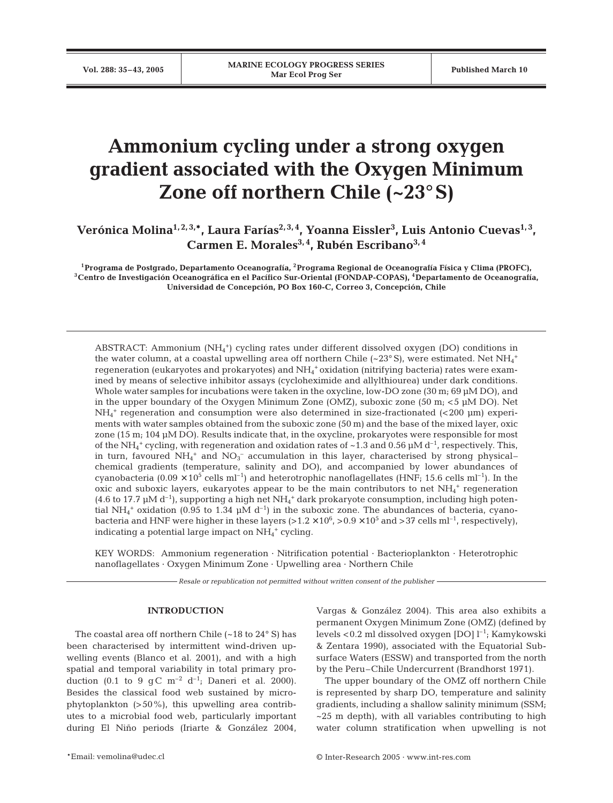# **Ammonium cycling under a strong oxygen gradient associated with the Oxygen Minimum Zone off northern Chile (~23°S)**

Verónica Molina<sup>1,2,3,</sup>\*, Laura Farías<sup>2,3,4</sup>, Yoanna Eissler<sup>3</sup>, Luis Antonio Cuevas<sup>1,3</sup>, Carmen E. Morales<sup>3, 4</sup>, Rubén Escribano<sup>3, 4</sup>

**1Programa de Postgrado, Departamento Oceanografía, 2Programa Regional de Oceanografía Física y Clima (PROFC), 3Centro de Investigación Oceanográfica en el Pacífico Sur-Oriental (FONDAP-COPAS), 4Departamento de Oceanografía, Universidad de Concepción, PO Box 160-C, Correo 3, Concepción, Chile**

ABSTRACT: Ammonium (NH4 +) cycling rates under different dissolved oxygen (DO) conditions in the water column, at a coastal upwelling area off northern Chile (~23° S), were estimated. Net  $\mathrm{NH}_4{}^+$ regeneration (eukaryotes and prokaryotes) and  $\mathrm{NH}_4{}^+$ oxidation (nitrifying bacteria) rates were examined by means of selective inhibitor assays (cycloheximide and allylthiourea) under dark conditions. Whole water samples for incubations were taken in the oxycline, low-DO zone (30 m; 69 µM DO), and in the upper boundary of the Oxygen Minimum Zone (OMZ), suboxic zone (50 m; <5 µM DO). Net NH4 <sup>+</sup> regeneration and consumption were also determined in size-fractionated (<200 µm) experiments with water samples obtained from the suboxic zone (50 m) and the base of the mixed layer, oxic zone (15 m; 104 µM DO). Results indicate that, in the oxycline, prokaryotes were responsible for most of the NH<sub>4</sub><sup>+</sup> cycling, with regeneration and oxidation rates of ~1.3 and 0.56  $\mu$ M d<sup>-1</sup>, respectively. This, in turn, favoured  $NH_4^+$  and  $NO_3^-$  accumulation in this layer, characterised by strong physicalchemical gradients (temperature, salinity and DO), and accompanied by lower abundances of cyanobacteria  $(0.09 \times 10^5 \text{ cells m}^{-1})$  and heterotrophic nanoflagellates (HNF; 15.6 cells ml<sup>-1</sup>). In the oxic and suboxic layers, eukaryotes appear to be the main contributors to net  $NH_4^+$  regeneration (4.6 to 17.7 µM d<sup>-1</sup>), supporting a high net NH<sub>4</sub><sup>+</sup> dark prokaryote consumption, including high potential NH<sub>4</sub><sup>+</sup> oxidation (0.95 to 1.34  $\mu$ M d<sup>-1</sup>) in the suboxic zone. The abundances of bacteria, cyanobacteria and HNF were higher in these layers (> $1.2 \times 10^6$ , > $0.9 \times 10^5$  and >37 cells ml<sup>-1</sup>, respectively), indicating a potential large impact on NH<sub>4</sub><sup>+</sup> cycling.

KEY WORDS: Ammonium regeneration · Nitrification potential · Bacterioplankton · Heterotrophic nanoflagellates · Oxygen Minimum Zone · Upwelling area · Northern Chile

*Resale or republication not permitted without written consent of the publisher*

#### **INTRODUCTION**

The coastal area off northern Chile  $(-18 \text{ to } 24^{\circ} \text{ S})$  has been characterised by intermittent wind-driven upwelling events (Blanco et al. 2001), and with a high spatial and temporal variability in total primary production (0.1 to 9 gC  $m^{-2}$  d<sup>-1</sup>; Daneri et al. 2000). Besides the classical food web sustained by microphytoplankton (>50%), this upwelling area contributes to a microbial food web, particularly important during El Niño periods (Iriarte & González 2004, Vargas & González 2004). This area also exhibits a permanent Oxygen Minimum Zone (OMZ) (defined by levels <0.2 ml dissolved oxygen [DO]  $l^{-1}$ ; Kamykowski & Zentara 1990), associated with the Equatorial Subsurface Waters (ESSW) and transported from the north by the Peru–Chile Undercurrent (Brandhorst 1971).

The upper boundary of the OMZ off northern Chile is represented by sharp DO, temperature and salinity gradients, including a shallow salinity minimum (SSM;  $\sim$ 25 m depth), with all variables contributing to high water column stratification when upwelling is not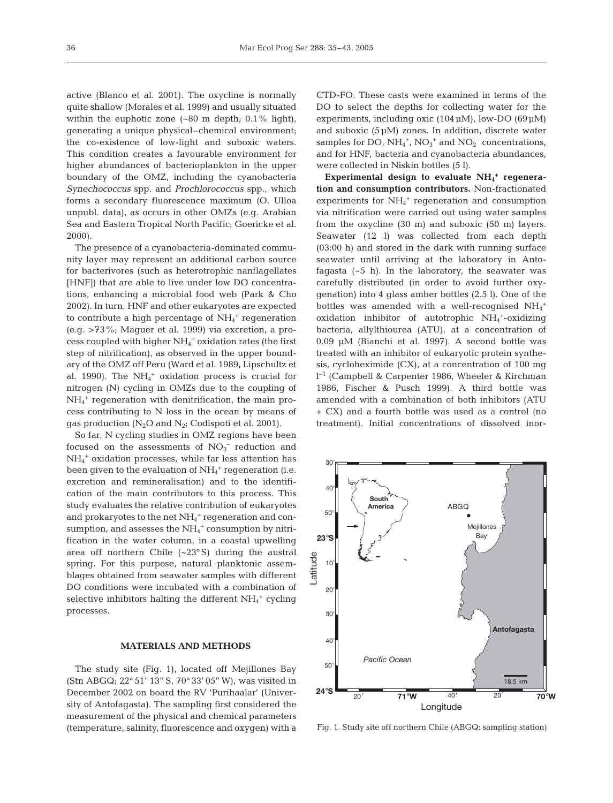active (Blanco et al. 2001). The oxycline is normally quite shallow (Morales et al. 1999) and usually situated within the euphotic zone  $(-80 \text{ m depth}; 0.1\% \text{ light})$ , generating a unique physical–chemical environment; the co-existence of low-light and suboxic waters. This condition creates a favourable environment for higher abundances of bacterioplankton in the upper boundary of the OMZ, including the cyanobacteria *Synechococcus* spp. and *Prochlorococcus* spp., which forms a secondary fluorescence maximum (O. Ulloa unpubl. data), as occurs in other OMZs (e.g. Arabian Sea and Eastern Tropical North Pacific; Goericke et al. 2000).

The presence of a cyanobacteria-dominated community layer may represent an additional carbon source for bacterivores (such as heterotrophic nanflagellates [HNF]) that are able to live under low DO concentrations, enhancing a microbial food web (Park & Cho 2002). In turn, HNF and other eukaryotes are expected to contribute a high percentage of  $NH_4^+$  regeneration (e.g. >73%; Maguer et al. 1999) via excretion, a process coupled with higher NH<sub>4</sub><sup>+</sup> oxidation rates (the first step of nitrification), as observed in the upper boundary of the OMZ off Peru (Ward et al. 1989, Lipschultz et al. 1990). The NH4 <sup>+</sup> oxidation process is crucial for nitrogen (N) cycling in OMZs due to the coupling of NH4 <sup>+</sup> regeneration with denitrification, the main process contributing to N loss in the ocean by means of gas production  $(N_2O$  and  $N_2$ ; Codispoti et al. 2001).

So far, N cycling studies in OMZ regions have been focused on the assessments of  $NO<sub>3</sub><sup>-</sup>$  reduction and NH4 <sup>+</sup> oxidation processes, while far less attention has been given to the evaluation of NH<sub>4</sub><sup>+</sup> regeneration (i.e. excretion and remineralisation) and to the identification of the main contributors to this process. This study evaluates the relative contribution of eukaryotes and prokaryotes to the net  $NH_4$ <sup>+</sup> regeneration and consumption, and assesses the  $\mathrm{NH_4}^+$  consumption by nitrification in the water column, in a coastal upwelling area off northern Chile (~23° S) during the austral spring. For this purpose, natural planktonic assemblages obtained from seawater samples with different DO conditions were incubated with a combination of selective inhibitors halting the different  $NH_4^+$  cycling processes.

## **MATERIALS AND METHODS**

The study site (Fig. 1), located off Mejillones Bay (Stn ABGQ; 22° 51' 13'' S, 70° 33' 05'' W), was visited in December 2002 on board the RV 'Purihaalar' (University of Antofagasta). The sampling first considered the measurement of the physical and chemical parameters (temperature, salinity, fluorescence and oxygen) with a CTD-FO. These casts were examined in terms of the DO to select the depths for collecting water for the experiments, including oxic  $(104 \mu M)$ , low-DO  $(69 \mu M)$ and suboxic  $(5 \mu M)$  zones. In addition, discrete water samples for DO,  $NH_4^+$ ,  $NO_3^+$  and  $NO_2^-$  concentrations, and for HNF, bacteria and cyanobacteria abundances, were collected in Niskin bottles (5 l).

Experimental design to evaluate NH<sub>4</sub><sup>+</sup> regenera**tion and consumption contributors.** Non-fractionated experiments for  $NH_4$ <sup>+</sup> regeneration and consumption via nitrification were carried out using water samples from the oxycline (30 m) and suboxic (50 m) layers. Seawater (12 l) was collected from each depth (03:00 h) and stored in the dark with running surface seawater until arriving at the laboratory in Antofagasta  $(-5 h)$ . In the laboratory, the seawater was carefully distributed (in order to avoid further oxygenation) into 4 glass amber bottles (2.5 l). One of the bottles was amended with a well-recognised  $NH_4^+$ oxidation inhibitor of autotrophic  $NH_4^+$ -oxidizing bacteria, allylthiourea (ATU), at a concentration of 0.09 µM (Bianchi et al. 1997). A second bottle was treated with an inhibitor of eukaryotic protein synthesis, cycloheximide (CX), at a concentration of 100 mg l –1 (Campbell & Carpenter 1986, Wheeler & Kirchman 1986, Fischer & Pusch 1999). A third bottle was amended with a combination of both inhibitors (ATU + CX) and a fourth bottle was used as a control (no treatment). Initial concentrations of dissolved inor-



Fig. 1. Study site off northern Chile (ABGQ: sampling station)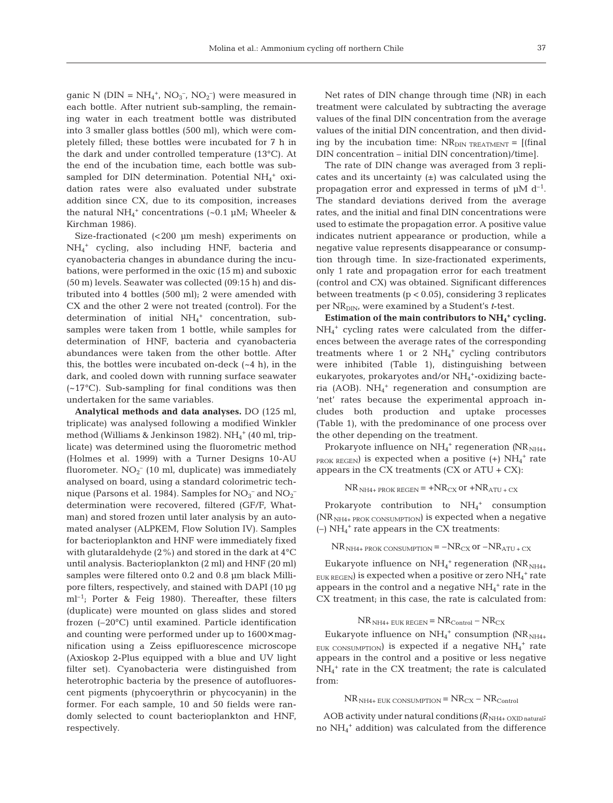ganic N ( $\text{DIN} = \text{NH}_4^+$ ,  $\text{NO}_3^-$ ,  $\text{NO}_2^-$ ) were measured in each bottle. After nutrient sub-sampling, the remaining water in each treatment bottle was distributed into 3 smaller glass bottles (500 ml), which were completely filled; these bottles were incubated for 7 h in the dark and under controlled temperature (13°C). At the end of the incubation time, each bottle was subsampled for DIN determination. Potential  $NH_4^+$  oxidation rates were also evaluated under substrate addition since CX, due to its composition, increases the natural  $NH_4^+$  concentrations (~0.1 µM; Wheeler & Kirchman 1986).

Size-fractionated (<200 µm mesh) experiments on NH4 <sup>+</sup> cycling, also including HNF, bacteria and cyanobacteria changes in abundance during the incubations, were performed in the oxic (15 m) and suboxic (50 m) levels. Seawater was collected (09:15 h) and distributed into 4 bottles (500 ml); 2 were amended with CX and the other 2 were not treated (control). For the determination of initial NH<sub>4</sub><sup>+</sup> concentration, subsamples were taken from 1 bottle, while samples for determination of HNF, bacteria and cyanobacteria abundances were taken from the other bottle. After this, the bottles were incubated on-deck  $(-4 h)$ , in the dark, and cooled down with running surface seawater  $(-17^{\circ}C)$ . Sub-sampling for final conditions was then undertaken for the same variables.

**Analytical methods and data analyses.** DO (125 ml, triplicate) was analysed following a modified Winkler method (Williams & Jenkinson 1982). NH<sub>4</sub><sup>+</sup> (40 ml, triplicate) was determined using the fluorometric method (Holmes et al. 1999) with a Turner Designs 10-AU fluorometer.  $NO_2^-$  (10 ml, duplicate) was immediately analysed on board, using a standard colorimetric technique (Parsons et al. 1984). Samples for  $\mathrm{NO_3}^-$  and  $\mathrm{NO_2}^$ determination were recovered, filtered (GF/F, Whatman) and stored frozen until later analysis by an automated analyser (ALPKEM, Flow Solution IV). Samples for bacterioplankton and HNF were immediately fixed with glutaraldehyde (2%) and stored in the dark at 4°C until analysis. Bacterioplankton (2 ml) and HNF (20 ml) samples were filtered onto 0.2 and 0.8 µm black Millipore filters, respectively, and stained with DAPI (10 µg  $ml^{-1}$ ; Porter & Feig 1980). Thereafter, these filters (duplicate) were mounted on glass slides and stored frozen (–20°C) until examined. Particle identification and counting were performed under up to 1600× magnification using a Zeiss epifluorescence microscope (Axioskop 2-Plus equipped with a blue and UV light filter set). Cyanobacteria were distinguished from heterotrophic bacteria by the presence of autofluorescent pigments (phycoerythrin or phycocyanin) in the former. For each sample, 10 and 50 fields were randomly selected to count bacterioplankton and HNF, respectively.

Net rates of DIN change through time (NR) in each treatment were calculated by subtracting the average values of the final DIN concentration from the average values of the initial DIN concentration, and then dividing by the incubation time:  $NR<sub>DIN TREATMENT</sub> = [(final)$ DIN concentration – initial DIN concentration)/time].

The rate of DIN change was averaged from 3 replicates and its uncertainty  $(\pm)$  was calculated using the propagation error and expressed in terms of  $\mu$ M d<sup>-1</sup>. The standard deviations derived from the average rates, and the initial and final DIN concentrations were used to estimate the propagation error. A positive value indicates nutrient appearance or production, while a negative value represents disappearance or consumption through time. In size-fractionated experiments, only 1 rate and propagation error for each treatment (control and CX) was obtained. Significant differences between treatments  $(p < 0.05)$ , considering 3 replicates per NR<sub>DIN</sub>, were examined by a Student's *t*-test.

**Estimation of the main contributors to NH4 <sup>+</sup> cycling.** NH4 <sup>+</sup> cycling rates were calculated from the differences between the average rates of the corresponding treatments where 1 or 2  $NH_4^+$  cycling contributors were inhibited (Table 1), distinguishing between eukaryotes, prokaryotes and/or NH<sub>4</sub><sup>+</sup>-oxidizing bacteria (AOB). NH4 <sup>+</sup> regeneration and consumption are 'net' rates because the experimental approach includes both production and uptake processes (Table 1), with the predominance of one process over the other depending on the treatment.

Prokaryote influence on NH<sub>4</sub><sup>+</sup> regeneration (NR<sub>NH4+</sub>  $PROK REGEN$ ) is expected when a positive  $(+)$   $NH<sub>4</sub><sup>+</sup>$  rate appears in the CX treatments  $(CX \text{ or } ATU + CX)$ :

 $NR_{\text{NH4+} \text{PROK} \text{REGEN}} = +NR_{\text{CX}} \text{ or } +NR_{\text{ATU} + \text{CX}}$ 

Prokaryote contribution to  $NH_4^+$  consumption  $(NR_{NH4+ \text{PROK CONSUMPTION}})$  is expected when a negative  $(-)$  NH<sub>4</sub><sup>+</sup> rate appears in the CX treatments:

 $NR_{\text{NH4+}$  PROK CONSUMPTION =  $-NR_{\text{CX}}$  or  $-NR_{\text{ATU + CX}}$ 

Eukaryote influence on NH<sub>4</sub><sup>+</sup> regeneration (NR<sub>NH4+</sub>  $_{\rm EUK\,REGEN})$  is expected when a positive or zero  $\rm NH_4^+$  rate appears in the control and a negative  $NH_4$ <sup>+</sup> rate in the CX treatment; in this case, the rate is calculated from:

 $\rm NR_{\rm NH4+\,EUK\,REGEN}\rm =\rm NR_{\rm Control}\rm -\rm NR_{\rm CX}$ 

Eukaryote influence on NH<sub>4</sub><sup>+</sup> consumption (NR<sub>NH4+</sub> EUK CONSUMPTION) is expected if a negative  $NH_4^+$  rate appears in the control and a positive or less negative NH4 <sup>+</sup> rate in the CX treatment; the rate is calculated from:

 $NR_{NH4+ FUK CONSUMPTION} = NR_{CX} - NR_{Control}$ 

AOB activity under natural conditions  $(R_{\text{NH4+ OXID natural}})$ no NH4 <sup>+</sup> addition) was calculated from the difference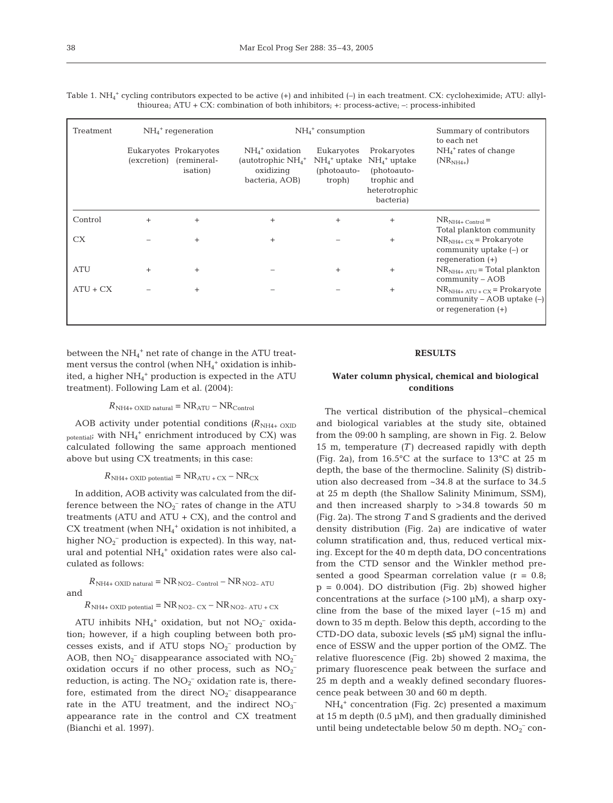| Treatment  | $NH4$ <sup>+</sup> regeneration |                                                                       | $NH4$ <sup>+</sup> consumption                                                       | Summary of contributors                                           |                                                                                          |                                                                                         |
|------------|---------------------------------|-----------------------------------------------------------------------|--------------------------------------------------------------------------------------|-------------------------------------------------------------------|------------------------------------------------------------------------------------------|-----------------------------------------------------------------------------------------|
|            |                                 | Eukaryotes Prokaryotes<br>(excretion) (remineral-<br><i>isation</i> ) | $NH4$ <sup>+</sup> oxidation<br>(autotrophic $NH_4^+$<br>oxidizing<br>bacteria, AOB) | Eukaryotes<br>$NH_4$ <sup>+</sup> uptake<br>(photoauto-<br>troph) | Prokaryotes<br>$NH4+ uptake$<br>(photoauto-<br>trophic and<br>heterotrophic<br>bacteria) | to each net<br>$NH4$ <sup>+</sup> rates of change<br>$(NRNH4+)$                         |
| Control    | $^{+}$                          | $^{+}$                                                                | $^{+}$                                                                               | $^{+}$                                                            | $+$                                                                                      | $NRNH4+ Control =$<br>Total plankton community                                          |
| CX.        |                                 | $^{+}$                                                                | $^{+}$                                                                               |                                                                   | $+$                                                                                      | $NR_{NH4+CX}$ = Prokaryote<br>community uptake $(-)$ or<br>regeneration $(+)$           |
| <b>ATU</b> | $+$                             | $^{+}$                                                                |                                                                                      | $^{+}$                                                            | $+$                                                                                      | $NR_{NH4+ATII}$ = Total plankton<br>$community - AOB$                                   |
| $ATU + CX$ |                                 | $^{+}$                                                                |                                                                                      |                                                                   | $+$                                                                                      | $NR_{NH4+ATU+CX}$ = Prokaryote<br>community – AOB uptake $(-)$<br>or regeneration $(+)$ |

Table 1.  $NH_4^+$  cycling contributors expected to be active  $(+)$  and inhibited  $(-)$  in each treatment. CX: cycloheximide; ATU: allylthiourea; ATU + CX: combination of both inhibitors; +: process-active; –: process-inhibited

between the NH<sub>4</sub><sup>+</sup> net rate of change in the ATU treatment versus the control (when  $NH_4^+$  oxidation is inhibited, a higher NH4 <sup>+</sup> production is expected in the ATU treatment). Following Lam et al. (2004):

 $R_{\text{NH4+ OXID natural}} = \text{NR}_{\text{ATU}} - \text{NR}_{\text{Control}}$ 

AOB activity under potential conditions  $(R_{NH4+ OXID})$ <sub>potential</sub>; with NH<sub>4</sub><sup>+</sup> enrichment introduced by CX) was calculated following the same approach mentioned above but using CX treatments; in this case:

$$
R_{\text{NH4+ OXID potential}} = \text{NR}_{\text{ATU} + \text{CX}} - \text{NR}_{\text{CX}}
$$

In addition, AOB activity was calculated from the difference between the  $NO_2^-$  rates of change in the ATU treatments (ATU and  $ATU + CX$ ), and the control and  $CX$  treatment (when  $NH_4^+$  oxidation is not inhibited, a higher  $NO<sub>2</sub><sup>-</sup>$  production is expected). In this way, natural and potential NH4 <sup>+</sup> oxidation rates were also calculated as follows:

$$
R_{\text{NH4+ OXID natural}} = \text{NR}_{\text{NO2- Control}} - \text{NR}_{\text{NO2-ATU}}
$$
 and

 $R_{\text{NH4+ OXID potential}} = \text{NR}_{\text{NO2- CX}} - \text{NR}_{\text{NO2- ATU + CX}}$ 

ATU inhibits  $NH_4^+$  oxidation, but not  $NO_2^-$  oxidation; however, if a high coupling between both processes exists, and if ATU stops  $NO<sub>2</sub><sup>-</sup>$  production by AOB, then  $NO<sub>2</sub><sup>-</sup>$  disappearance associated with  $NO<sub>2</sub>$ oxidation occurs if no other process, such as  $NO<sub>2</sub>$ <sup>-</sup> reduction, is acting. The  $NO<sub>2</sub><sup>-</sup>$  oxidation rate is, therefore, estimated from the direct  $NO<sub>2</sub><sup>-</sup>$  disappearance rate in the ATU treatment, and the indirect  $NO<sub>3</sub>$ <sup>-</sup> appearance rate in the control and CX treatment (Bianchi et al. 1997).

#### **RESULTS**

#### **Water column physical, chemical and biological conditions**

The vertical distribution of the physical–chemical and biological variables at the study site, obtained from the 09:00 h sampling, are shown in Fig. 2. Below 15 m, temperature *(T)* decreased rapidly with depth (Fig. 2a), from 16.5°C at the surface to 13°C at 25 m depth, the base of the thermocline. Salinity (S) distribution also decreased from ~34.8 at the surface to 34.5 at 25 m depth (the Shallow Salinity Minimum, SSM), and then increased sharply to >34.8 towards 50 m (Fig. 2a). The strong *T* and S gradients and the derived density distribution (Fig. 2a) are indicative of water column stratification and, thus, reduced vertical mixing. Except for the 40 m depth data, DO concentrations from the CTD sensor and the Winkler method presented a good Spearman correlation value  $(r = 0.8)$ ; p = 0.004). DO distribution (Fig. 2b) showed higher concentrations at the surface  $(>100 \mu M)$ , a sharp oxycline from the base of the mixed layer  $(-15 \text{ m})$  and down to 35 m depth. Below this depth, according to the CTD-DO data, suboxic levels  $(≤5 \mu M)$  signal the influence of ESSW and the upper portion of the OMZ. The relative fluorescence (Fig. 2b) showed 2 maxima, the primary fluorescence peak between the surface and 25 m depth and a weakly defined secondary fluorescence peak between 30 and 60 m depth.

NH4 <sup>+</sup> concentration (Fig. 2c) presented a maximum at 15 m depth  $(0.5 \mu M)$ , and then gradually diminished until being undetectable below 50 m depth.  $NO<sub>2</sub><sup>-</sup>$  con-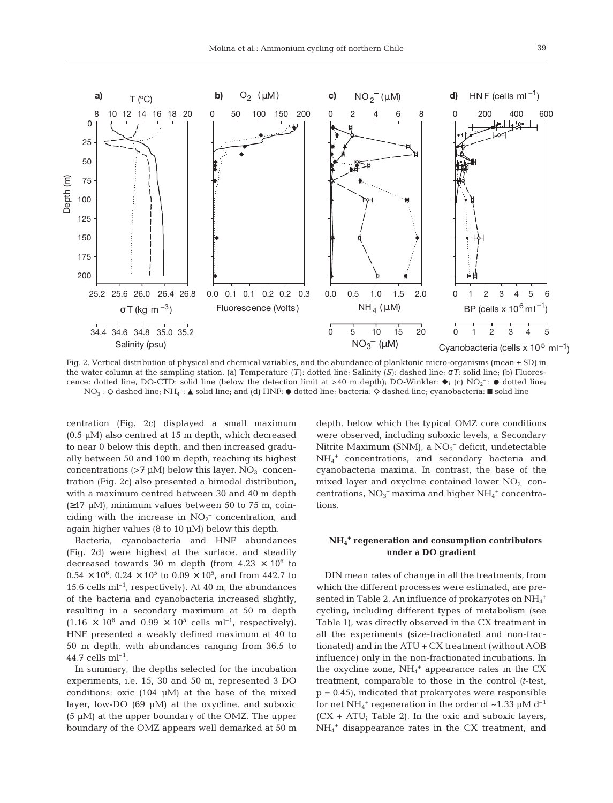

Fig. 2. Vertical distribution of physical and chemical variables, and the abundance of planktonic micro-organisms (mean ± SD) in the water column at the sampling station. (a) Temperature (*T*): dotted line; Salinity (*S*): dashed line; σ*T*: solid line; (b) Fluorescence: dotted line, DO-CTD: solid line (below the detection limit at >40 m depth); DO-Winkler:  $\bullet$ ; (c) NO<sub>2</sub><sup>-</sup>:  $\bullet$  dotted line;  $\rm NO_3^-$ : O dashed line;  $\rm NH_4^{+}\colon\blacktriangle$  solid line; and (d)  $\rm HNF\colon\blacktriangleright$  dotted line; bacteria:  $\diamond$  dashed line; cyanobacteria:  $\blacksquare$  solid line

centration (Fig. 2c) displayed a small maximum (0.5 µM) also centred at 15 m depth, which decreased to near 0 below this depth, and then increased gradually between 50 and 100 m depth, reaching its highest concentrations (>7  $\mu$ M) below this layer. NO<sub>3</sub><sup>-</sup> concentration (Fig. 2c) also presented a bimodal distribution, with a maximum centred between 30 and 40 m depth  $(\geq 17 \mu M)$ , minimum values between 50 to 75 m, coinciding with the increase in  $NO<sub>2</sub><sup>-</sup>$  concentration, and again higher values (8 to 10  $\mu$ M) below this depth.

Bacteria, cyanobacteria and HNF abundances (Fig. 2d) were highest at the surface, and steadily decreased towards 30 m depth (from  $4.23 \times 10^6$  to  $0.54 \times 10^6$ ,  $0.24 \times 10^5$  to  $0.09 \times 10^5$ , and from 442.7 to 15.6 cells  $ml^{-1}$ , respectively). At 40 m, the abundances of the bacteria and cyanobacteria increased slightly, resulting in a secondary maximum at 50 m depth  $(1.16 \times 10^6 \text{ and } 0.99 \times 10^5 \text{ cells ml}^{-1}$ , respectively). HNF presented a weakly defined maximum at 40 to 50 m depth, with abundances ranging from 36.5 to 44.7 cells  $ml^{-1}$ .

In summary, the depths selected for the incubation experiments, i.e. 15, 30 and 50 m, represented 3 DO conditions: oxic  $(104 \mu M)$  at the base of the mixed layer, low-DO (69 µM) at the oxycline, and suboxic (5 µM) at the upper boundary of the OMZ. The upper boundary of the OMZ appears well demarked at 50 m depth, below which the typical OMZ core conditions were observed, including suboxic levels, a Secondary Nitrite Maximum (SNM), a NO<sub>3</sub><sup>-</sup> deficit, undetectable NH4 <sup>+</sup> concentrations, and secondary bacteria and cyanobacteria maxima. In contrast, the base of the mixed layer and oxycline contained lower  $NO<sub>2</sub><sup>-</sup>$  concentrations,  $NO<sub>3</sub><sup>-</sup>$  maxima and higher  $NH<sub>4</sub><sup>+</sup>$  concentrations.

## **NH4 <sup>+</sup> regeneration and consumption contributors under a DO gradient**

DIN mean rates of change in all the treatments, from which the different processes were estimated, are presented in Table 2. An influence of prokaryotes on  $\mathrm{NH}_4{}^+$ cycling, including different types of metabolism (see Table 1), was directly observed in the CX treatment in all the experiments (size-fractionated and non-fractionated) and in the ATU + CX treatment (without AOB influence) only in the non-fractionated incubations. In the oxycline zone,  $NH_4$ <sup>+</sup> appearance rates in the CX treatment, comparable to those in the control *(t*-test,  $p = 0.45$ , indicated that prokaryotes were responsible for net NH<sub>4</sub><sup>+</sup> regeneration in the order of ~1.33  $\mu$ M d<sup>-1</sup>  $(CX + ATU$ ; Table 2). In the oxic and suboxic layers, NH4 <sup>+</sup> disappearance rates in the CX treatment, and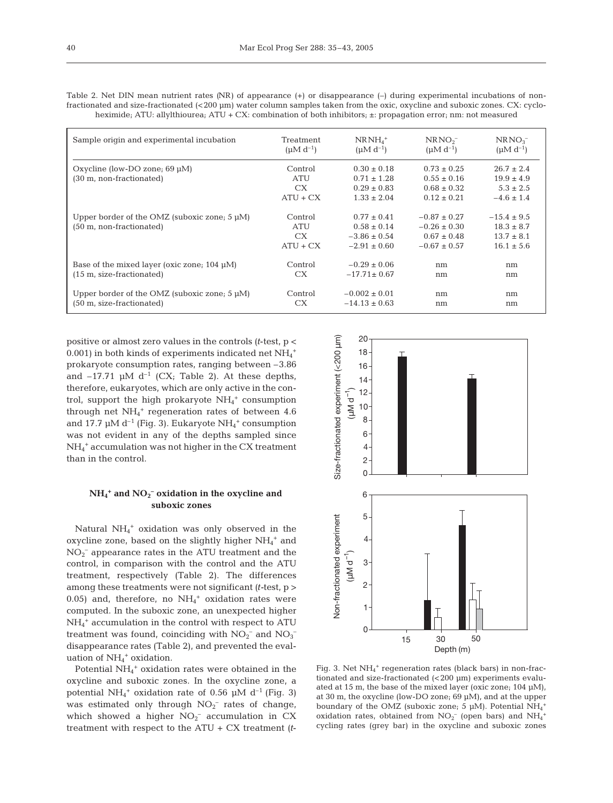| ٦<br>$\sim$ |
|-------------|
|             |

| Table 2. Net DIN mean nutrient rates (NR) of appearance $(+)$ or disappearance $(-)$ during experimental incubations of non-  |
|-------------------------------------------------------------------------------------------------------------------------------|
| fractionated and size-fractionated (<200 µm) water column samples taken from the oxic, oxycline and suboxic zones. CX: cyclo- |
| heximide; ATU: allylthiourea; ATU + CX: combination of both inhibitors; $\pm$ : propagation error; nm: not measured           |

| Sample origin and experimental incubation                                                       | Treatment                           | $NRMH_4^+$                                                                 | NRNO <sub>2</sub>                                                           | NRNO <sub>3</sub>                                                     |
|-------------------------------------------------------------------------------------------------|-------------------------------------|----------------------------------------------------------------------------|-----------------------------------------------------------------------------|-----------------------------------------------------------------------|
|                                                                                                 | $(\mu M d^{-1})$                    | $(\mu M d^{-1})$                                                           | $(\mu M d^{-1})$                                                            | $(\mu M d^{-1})$                                                      |
| Oxycline (low-DO zone; $69 \mu M$ )<br>(30 m, non-fractionated)                                 | Control<br>ATU<br>CX.<br>$ATU + CX$ | $0.30 \pm 0.18$<br>$0.71 \pm 1.28$<br>$0.29 \pm 0.83$<br>$1.33 \pm 2.04$   | $0.73 \pm 0.25$<br>$0.55 \pm 0.16$<br>$0.68 \pm 0.32$<br>$0.12 \pm 0.21$    | $26.7 \pm 2.4$<br>$19.9 \pm 4.9$<br>$5.3 \pm 2.5$<br>$-4.6 \pm 1.4$   |
| Upper border of the OMZ (suboxic zone; $5 \mu M$ )<br>$(50 \text{ m}, \text{non-fractionated})$ | Control<br>ATU<br>CX.<br>$ATU + CX$ | $0.77 \pm 0.41$<br>$0.58 \pm 0.14$<br>$-3.86 \pm 0.54$<br>$-2.91 \pm 0.60$ | $-0.87 \pm 0.27$<br>$-0.26 \pm 0.30$<br>$0.67 \pm 0.48$<br>$-0.67 \pm 0.57$ | $-15.4 \pm 9.5$<br>$18.3 \pm 8.7$<br>$13.7 \pm 8.1$<br>$16.1 \pm 5.6$ |
| Base of the mixed layer (oxic zone; $104 \mu M$ )                                               | Control                             | $-0.29 \pm 0.06$                                                           | nm                                                                          | nm                                                                    |
| $(15 \text{ m}, \text{size-fractionated})$                                                      | CX.                                 | $-17.71 \pm 0.67$                                                          | nm                                                                          | nm                                                                    |
| Upper border of the OMZ (suboxic zone; $5 \mu M$ )                                              | Control                             | $-0.002 \pm 0.01$                                                          | nm                                                                          | nm                                                                    |
| (50 m, size-fractionated)                                                                       | <b>CX</b>                           | $-14.13 \pm 0.63$                                                          | nm                                                                          | nm                                                                    |

positive or almost zero values in the controls *(t*-test, p < 0.001) in both kinds of experiments indicated net  $\mathrm{NH}_4{}^+$ prokaryote consumption rates, ranging between –3.86 and  $-17.71$  µM d<sup>-1</sup> (CX; Table 2). At these depths, therefore, eukaryotes, which are only active in the control, support the high prokaryote  $NH_4^+$  consumption through net NH4 <sup>+</sup> regeneration rates of between 4.6 and 17.7  $\mu$ M d<sup>-1</sup> (Fig. 3). Eukaryote NH<sub>4</sub><sup>+</sup> consumption was not evident in any of the depths sampled since NH4 <sup>+</sup> accumulation was not higher in the CX treatment than in the control.

#### **NH4 <sup>+</sup> and NO2 – oxidation in the oxycline and suboxic zones**

Natural NH<sub>4</sub><sup>+</sup> oxidation was only observed in the oxycline zone, based on the slightly higher  $\mathrm{NH}_4{}^+$  and  $NO<sub>2</sub><sup>-</sup>$  appearance rates in the ATU treatment and the control, in comparison with the control and the ATU treatment, respectively (Table 2). The differences among these treatments were not significant *(t-*test, p > 0.05) and, therefore, no  $NH_4$ <sup>+</sup> oxidation rates were computed. In the suboxic zone, an unexpected higher NH4 <sup>+</sup> accumulation in the control with respect to ATU treatment was found, coinciding with  $NO_2^-$  and  $NO_3^$ disappearance rates (Table 2), and prevented the evaluation of NH<sub>4</sub><sup>+</sup> oxidation.

Potential NH<sub>4</sub><sup>+</sup> oxidation rates were obtained in the oxycline and suboxic zones. In the oxycline zone, a potential NH<sub>4</sub><sup>+</sup> oxidation rate of 0.56  $\mu$ M d<sup>-1</sup> (Fig. 3) was estimated only through  $NO<sub>2</sub><sup>-</sup>$  rates of change, which showed a higher  $NO<sub>2</sub><sup>-</sup>$  accumulation in CX treatment with respect to the ATU + CX treatment *(t*-



Fig. 3. Net NH<sub>4</sub><sup>+</sup> regeneration rates (black bars) in non-fractionated and size-fractionated (<200 µm) experiments evaluated at 15 m, the base of the mixed layer (oxic zone; 104 µM), at 30 m, the oxycline (low-DO zone; 69 µM), and at the upper boundary of the OMZ (suboxic zone; 5  $\mu$ M). Potential NH<sub>4</sub><sup>+</sup> oxidation rates, obtained from  $NO<sub>2</sub><sup>-</sup>$  (open bars) and  $NH<sub>4</sub><sup>+</sup>$ cycling rates (grey bar) in the oxycline and suboxic zones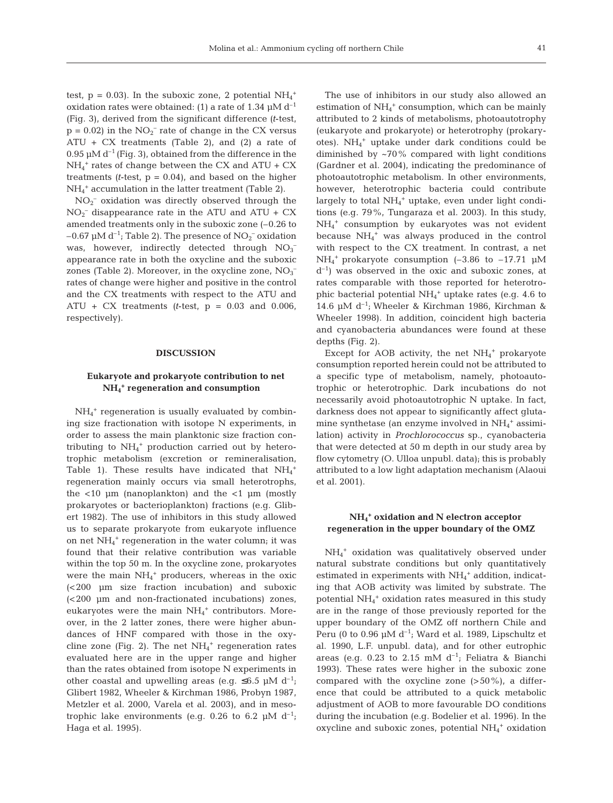test,  $p = 0.03$ ). In the suboxic zone, 2 potential  $NH_4^+$ oxidation rates were obtained: (1) a rate of 1.34  $\mu$ M d<sup>-1</sup> (Fig. 3), derived from the significant difference *(t*-test,  $p = 0.02$ ) in the  $NO<sub>2</sub><sup>-</sup>$  rate of change in the CX versus ATU + CX treatments (Table 2), and (2) a rate of 0.95  $\mu$ M d<sup>-1</sup> (Fig. 3), obtained from the difference in the  $NH_4^+$  rates of change between the CX and ATU + CX treatments  $(t$ -test,  $p = 0.04$ , and based on the higher NH4 <sup>+</sup> accumulation in the latter treatment (Table 2).

 $NO<sub>2</sub><sup>-</sup>$  oxidation was directly observed through the  $NO<sub>2</sub><sup>-</sup>$  disappearance rate in the ATU and ATU + CX amended treatments only in the suboxic zone (–0.26 to –0.67  $\mu$ M d<sup>-1</sup>; Table 2). The presence of NO<sub>2</sub><sup>-</sup> oxidation was, however, indirectly detected through  $NO_3^$ appearance rate in both the oxycline and the suboxic zones (Table 2). Moreover, in the oxycline zone,  $NO<sub>3</sub>$ rates of change were higher and positive in the control and the CX treatments with respect to the ATU and  $ATU + CX$  treatments (*t*-test,  $p = 0.03$  and 0.006, respectively).

#### **DISCUSSION**

## **Eukaryote and prokaryote contribution to net NH4 <sup>+</sup> regeneration and consumption**

NH4 <sup>+</sup> regeneration is usually evaluated by combining size fractionation with isotope N experiments, in order to assess the main planktonic size fraction contributing to NH4 <sup>+</sup> production carried out by heterotrophic metabolism (excretion or remineralisation, Table 1). These results have indicated that  $NH_4^+$ regeneration mainly occurs via small heterotrophs, the  $<$ 10  $\mu$ m (nanoplankton) and the  $<$ 1  $\mu$ m (mostly prokaryotes or bacterioplankton) fractions (e.g. Glibert 1982). The use of inhibitors in this study allowed us to separate prokaryote from eukaryote influence on net NH<sub>4</sub><sup>+</sup> regeneration in the water column; it was found that their relative contribution was variable within the top 50 m. In the oxycline zone, prokaryotes were the main  $NH_4$ <sup>+</sup> producers, whereas in the oxic (<200 µm size fraction incubation) and suboxic (<200 µm and non-fractionated incubations) zones, eukaryotes were the main  $NH<sub>4</sub><sup>+</sup>$  contributors. Moreover, in the 2 latter zones, there were higher abundances of HNF compared with those in the oxycline zone (Fig. 2). The net  $NH_4^+$  regeneration rates evaluated here are in the upper range and higher than the rates obtained from isotope N experiments in other coastal and upwelling areas (e.g.  $\leq 6.5$  µM d<sup>-1</sup>; Glibert 1982, Wheeler & Kirchman 1986, Probyn 1987, Metzler et al. 2000, Varela et al. 2003), and in mesotrophic lake environments (e.g. 0.26 to 6.2  $\mu$ M d<sup>-1</sup>; Haga et al. 1995).

The use of inhibitors in our study also allowed an estimation of  $NH<sub>4</sub><sup>+</sup>$  consumption, which can be mainly attributed to 2 kinds of metabolisms, photoautotrophy (eukaryote and prokaryote) or heterotrophy (prokaryotes). NH4 <sup>+</sup> uptake under dark conditions could be diminished by ~70% compared with light conditions (Gardner et al. 2004), indicating the predominance of photoautotrophic metabolism. In other environments, however, heterotrophic bacteria could contribute largely to total NH<sub>4</sub><sup>+</sup> uptake, even under light conditions (e.g. 79%, Tungaraza et al. 2003). In this study, NH4 <sup>+</sup> consumption by eukaryotes was not evident because NH4 <sup>+</sup> was always produced in the control with respect to the CX treatment. In contrast, a net  $NH_4$ <sup>+</sup> prokaryote consumption (-3.86 to -17.71  $\mu$ M  $d^{-1}$ ) was observed in the oxic and suboxic zones, at rates comparable with those reported for heterotrophic bacterial potential  $NH_4^+$  uptake rates (e.g. 4.6 to 14.6 µM d–1; Wheeler & Kirchman 1986, Kirchman & Wheeler 1998). In addition, coincident high bacteria and cyanobacteria abundances were found at these depths (Fig. 2).

Except for AOB activity, the net  $NH_4^+$  prokaryote consumption reported herein could not be attributed to a specific type of metabolism, namely, photoautotrophic or heterotrophic. Dark incubations do not necessarily avoid photoautotrophic N uptake. In fact, darkness does not appear to significantly affect glutamine synthetase (an enzyme involved in  $\mathrm{NH}_4{}^+$  assimilation) activity in *Prochlorococcus* sp., cyanobacteria that were detected at 50 m depth in our study area by flow cytometry (O. Ulloa unpubl. data); this is probably attributed to a low light adaptation mechanism (Alaoui et al. 2001).

## **NH4 <sup>+</sup> oxidation and N electron acceptor regeneration in the upper boundary of the OMZ**

NH4 <sup>+</sup> oxidation was qualitatively observed under natural substrate conditions but only quantitatively estimated in experiments with  $\mathrm{NH}_4{}^+$  addition, indicating that AOB activity was limited by substrate. The potential NH<sub>4</sub><sup>+</sup> oxidation rates measured in this study are in the range of those previously reported for the upper boundary of the OMZ off northern Chile and Peru (0 to 0.96  $\mu$ M d<sup>-1</sup>; Ward et al. 1989, Lipschultz et al. 1990, L.F. unpubl. data), and for other eutrophic areas (e.g. 0.23 to 2.15 mM  $d^{-1}$ ; Feliatra & Bianchi 1993). These rates were higher in the suboxic zone compared with the oxycline zone  $(>50\%)$ , a difference that could be attributed to a quick metabolic adjustment of AOB to more favourable DO conditions during the incubation (e.g. Bodelier et al. 1996). In the oxycline and suboxic zones, potential NH<sub>4</sub><sup>+</sup> oxidation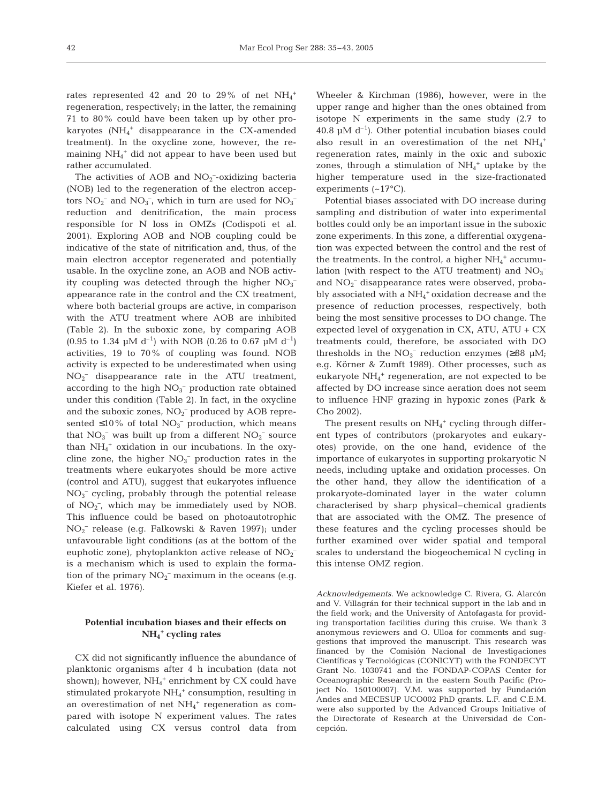rates represented 42 and 20 to 29% of net  $NH_4^+$ regeneration, respectively; in the latter, the remaining 71 to 80% could have been taken up by other prokaryotes  $(NH_4$ <sup>+</sup> disappearance in the CX-amended treatment). In the oxycline zone, however, the remaining NH4 <sup>+</sup> did not appear to have been used but rather accumulated.

The activities of AOB and  $NO<sub>2</sub>$ -oxidizing bacteria (NOB) led to the regeneration of the electron acceptors  $NO_2^-$  and  $NO_3^-$ , which in turn are used for  $NO_3^$ reduction and denitrification, the main process responsible for N loss in OMZs (Codispoti et al. 2001). Exploring AOB and NOB coupling could be indicative of the state of nitrification and, thus, of the main electron acceptor regenerated and potentially usable. In the oxycline zone, an AOB and NOB activity coupling was detected through the higher  $NO<sub>3</sub>^$ appearance rate in the control and the CX treatment, where both bacterial groups are active, in comparison with the ATU treatment where AOB are inhibited (Table 2). In the suboxic zone, by comparing AOB (0.95 to 1.34  $\mu$ M d<sup>-1</sup>) with NOB (0.26 to 0.67  $\mu$ M d<sup>-1</sup>) activities, 19 to 70% of coupling was found. NOB activity is expected to be underestimated when using NO2 – disappearance rate in the ATU treatment, according to the high  $NO<sub>3</sub><sup>-</sup>$  production rate obtained under this condition (Table 2). In fact, in the oxycline and the suboxic zones,  $NO_2^-$  produced by AOB represented  $\leq 10\%$  of total NO<sub>3</sub><sup>-</sup> production, which means that  $NO_3^-$  was built up from a different  $NO_2^-$  source than NH4 <sup>+</sup> oxidation in our incubations. In the oxycline zone, the higher  $NO<sub>3</sub><sup>-</sup>$  production rates in the treatments where eukaryotes should be more active (control and ATU), suggest that eukaryotes influence NO3 – cycling, probably through the potential release of  $NO<sub>2</sub>^-$ , which may be immediately used by NOB. This influence could be based on photoautotrophic NO2 – release (e.g. Falkowski & Raven 1997); under unfavourable light conditions (as at the bottom of the euphotic zone), phytoplankton active release of  $NO<sub>2</sub>$ <sup>-</sup> is a mechanism which is used to explain the formation of the primary  $NO_2^-$  maximum in the oceans (e.g. Kiefer et al. 1976).

# **Potential incubation biases and their effects on NH4 <sup>+</sup> cycling rates**

CX did not significantly influence the abundance of planktonic organisms after 4 h incubation (data not shown); however, NH<sub>4</sub><sup>+</sup> enrichment by CX could have stimulated prokaryote NH<sub>4</sub><sup>+</sup> consumption, resulting in an overestimation of net NH<sub>4</sub><sup>+</sup> regeneration as compared with isotope N experiment values. The rates calculated using CX versus control data from

Wheeler & Kirchman (1986), however, were in the upper range and higher than the ones obtained from isotope N experiments in the same study (2.7 to 40.8  $\mu$ M d<sup>-1</sup>). Other potential incubation biases could also result in an overestimation of the net  $NH_4^+$ regeneration rates, mainly in the oxic and suboxic zones, through a stimulation of  $NH_4^+$  uptake by the higher temperature used in the size-fractionated experiments (~17°C).

Potential biases associated with DO increase during sampling and distribution of water into experimental bottles could only be an important issue in the suboxic zone experiments. In this zone, a differential oxygenation was expected between the control and the rest of the treatments. In the control, a higher  $NH_4^+$  accumulation (with respect to the ATU treatment) and  $NO<sub>3</sub>$ <sup>-</sup> and  $NO<sub>2</sub><sup>-</sup>$  disappearance rates were observed, probably associated with a  $\mathrm{NH}_4{}^+$  oxidation decrease and the presence of reduction processes, respectively, both being the most sensitive processes to DO change. The expected level of oxygenation in CX, ATU, ATU  $+$  CX treatments could, therefore, be associated with DO thresholds in the  $NO_3^-$  reduction enzymes (≥88 µM; e.g. Körner & Zumft 1989). Other processes, such as eukaryote NH4 <sup>+</sup> regeneration, are not expected to be affected by DO increase since aeration does not seem to influence HNF grazing in hypoxic zones (Park & Cho 2002).

The present results on  $NH_4$ <sup>+</sup> cycling through different types of contributors (prokaryotes and eukaryotes) provide, on the one hand, evidence of the importance of eukaryotes in supporting prokaryotic N needs, including uptake and oxidation processes. On the other hand, they allow the identification of a prokaryote-dominated layer in the water column characterised by sharp physical–chemical gradients that are associated with the OMZ. The presence of these features and the cycling processes should be further examined over wider spatial and temporal scales to understand the biogeochemical N cycling in this intense OMZ region.

*Acknowledgements*. We acknowledge C. Rivera, G. Alarcón and V. Villagrán for their technical support in the lab and in the field work; and the University of Antofagasta for providing transportation facilities during this cruise. We thank 3 anonymous reviewers and O. Ulloa for comments and suggestions that improved the manuscript. This research was financed by the Comisión Nacional de Investigaciones Científicas y Tecnológicas (CONICYT) with the FONDECYT Grant No. 1030741 and the FONDAP-COPAS Center for Oceanographic Research in the eastern South Pacific (Project No. 150100007). V.M. was supported by Fundación Andes and MECESUP UCO002 PhD grants. L.F. and C.E.M. were also supported by the Advanced Groups Initiative of the Directorate of Research at the Universidad de Concepción.